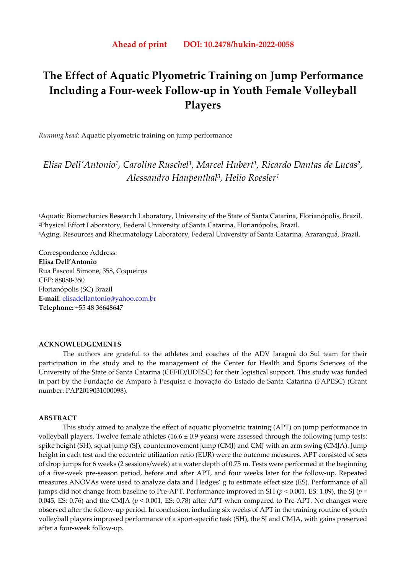# **The Effect of Aquatic Plyometric Training on Jump Performance Including a Four-week Follow-up in Youth Female Volleyball Players**

*Running head*: Aquatic plyometric training on jump performance

*Elisa Dell'Antonio1, Caroline Ruschel1, Marcel Hubert1, Ricardo Dantas de Lucas2, Alessandro Haupenthal3, Helio Roesler1*

1Aquatic Biomechanics Research Laboratory, University of the State of Santa Catarina, Florianópolis, Brazil. 2Physical Effort Laboratory, Federal University of Santa Catarina, Florianópolis, Brazil. 3Aging, Resources and Rheumatology Laboratory, Federal University of Santa Catarina, Araranguá, Brazil.

Correspondence Address: **Elisa Dell'Antonio**  Rua Pascoal Simone, 358, Coqueiros CEP: 88080-350 Florianópolis (SC) Brazil **E-mail**: elisadellantonio@yahoo.com.br **Telephone:** +55 48 36648647

#### **ACKNOWLEDGEMENTS**

The authors are grateful to the athletes and coaches of the ADV Jaraguá do Sul team for their participation in the study and to the management of the Center for Health and Sports Sciences of the University of the State of Santa Catarina (CEFID/UDESC) for their logistical support. This study was funded in part by the Fundação de Amparo à Pesquisa e Inovação do Estado de Santa Catarina (FAPESC) (Grant number: PAP2019031000098).

# **ABSTRACT**

 This study aimed to analyze the effect of aquatic plyometric training (APT) on jump performance in volleyball players. Twelve female athletes  $(16.6 \pm 0.9 \text{ years})$  were assessed through the following jump tests: spike height (SH), squat jump (SJ), countermovement jump (CMJ) and CMJ with an arm swing (CMJA). Jump height in each test and the eccentric utilization ratio (EUR) were the outcome measures. APT consisted of sets of drop jumps for 6 weeks (2 sessions/week) at a water depth of 0.75 m. Tests were performed at the beginning of a five-week pre-season period, before and after APT, and four weeks later for the follow-up. Repeated measures ANOVAs were used to analyze data and Hedges' g to estimate effect size (ES). Performance of all jumps did not change from baseline to Pre-APT. Performance improved in SH (*p* < 0.001, ES: 1.09), the SJ (*p* = 0.045, ES: 0.76) and the CMJA ( $p < 0.001$ , ES: 0.78) after APT when compared to Pre-APT. No changes were observed after the follow-up period. In conclusion, including six weeks of APT in the training routine of youth volleyball players improved performance of a sport-specific task (SH), the SJ and CMJA, with gains preserved after a four-week follow-up.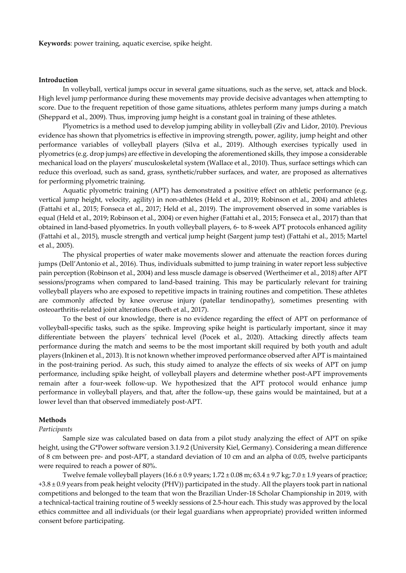**Keywords**: power training, aquatic exercise, spike height.

#### **Introduction**

In volleyball, vertical jumps occur in several game situations, such as the serve, set, attack and block. High level jump performance during these movements may provide decisive advantages when attempting to score. Due to the frequent repetition of those game situations, athletes perform many jumps during a match (Sheppard et al., 2009). Thus, improving jump height is a constant goal in training of these athletes.

Plyometrics is a method used to develop jumping ability in volleyball (Ziv and Lidor, 2010). Previous evidence has shown that plyometrics is effective in improving strength, power, agility, jump height and other performance variables of volleyball players (Silva et al., 2019). Although exercises typically used in plyometrics (e.g. drop jumps) are effective in developing the aforementioned skills, they impose a considerable mechanical load on the players' musculoskeletal system (Wallace et al., 2010). Thus, surface settings which can reduce this overload, such as sand, grass, synthetic/rubber surfaces, and water, are proposed as alternatives for performing plyometric training.

Aquatic plyometric training (APT) has demonstrated a positive effect on athletic performance (e.g. vertical jump height, velocity, agility) in non-athletes (Held et al., 2019; Robinson et al., 2004) and athletes (Fattahi et al., 2015; Fonseca et al., 2017; Held et al., 2019). The improvement observed in some variables is equal (Held et al., 2019; Robinson et al., 2004) or even higher (Fattahi et al., 2015; Fonseca et al., 2017) than that obtained in land-based plyometrics. In youth volleyball players, 6- to 8-week APT protocols enhanced agility (Fattahi et al., 2015), muscle strength and vertical jump height (Sargent jump test) (Fattahi et al., 2015; Martel et al., 2005).

The physical properties of water make movements slower and attenuate the reaction forces during jumps (Dell'Antonio et al., 2016). Thus, individuals submitted to jump training in water report less subjective pain perception (Robinson et al., 2004) and less muscle damage is observed (Wertheimer et al., 2018) after APT sessions/programs when compared to land-based training. This may be particularly relevant for training volleyball players who are exposed to repetitive impacts in training routines and competition. These athletes are commonly affected by knee overuse injury (patellar tendinopathy), sometimes presenting with osteoarthritis-related joint alterations (Boeth et al., 2017).

To the best of our knowledge, there is no evidence regarding the effect of APT on performance of volleyball-specific tasks, such as the spike. Improving spike height is particularly important, since it may differentiate between the players´ technical level (Pocek et al., 2020). Attacking directly affects team performance during the match and seems to be the most important skill required by both youth and adult players (Inkinen et al., 2013). It is not known whether improved performance observed after APT is maintained in the post-training period. As such, this study aimed to analyze the effects of six weeks of APT on jump performance, including spike height, of volleyball players and determine whether post-APT improvements remain after a four-week follow-up. We hypothesized that the APT protocol would enhance jump performance in volleyball players, and that, after the follow-up, these gains would be maintained, but at a lower level than that observed immediately post-APT.

# **Methods**

#### *Participants*

Sample size was calculated based on data from a pilot study analyzing the effect of APT on spike height, using the G\*Power software version 3.1.9.2 (University Kiel, Germany). Considering a mean difference of 8 cm between pre- and post-APT, a standard deviation of 10 cm and an alpha of 0.05, twelve participants were required to reach a power of 80%.

Twelve female volleyball players  $(16.6 \pm 0.9 \text{ years}; 1.72 \pm 0.08 \text{ m}; 63.4 \pm 9.7 \text{ kg}; 7.0 \pm 1.9 \text{ years of practice};$  $+3.8 \pm 0.9$  years from peak height velocity (PHV)) participated in the study. All the players took part in national competitions and belonged to the team that won the Brazilian Under-18 Scholar Championship in 2019, with a technical-tactical training routine of 5 weekly sessions of 2.5-hour each. This study was approved by the local ethics committee and all individuals (or their legal guardians when appropriate) provided written informed consent before participating.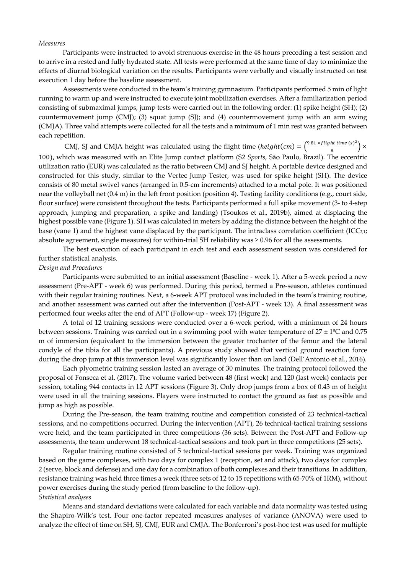#### *Measures*

Participants were instructed to avoid strenuous exercise in the 48 hours preceding a test session and to arrive in a rested and fully hydrated state. All tests were performed at the same time of day to minimize the effects of diurnal biological variation on the results. Participants were verbally and visually instructed on test execution 1 day before the baseline assessment.

Assessments were conducted in the team's training gymnasium. Participants performed 5 min of light running to warm up and were instructed to execute joint mobilization exercises. After a familiarization period consisting of submaximal jumps, jump tests were carried out in the following order: (1) spike height (SH); (2) countermovement jump (CMJ); (3) squat jump (SJ); and (4) countermovement jump with an arm swing (CMJA). Three valid attempts were collected for all the tests and a minimum of 1 min rest was granted between each repetition.

CMJ, SJ and CMJA height was calculated using the flight time ( $height(cm) = \frac{\left(\frac{9.81 \times flight \, time \, (s)^2}{8}\right) \times \left(\frac{3.81 \times film \, s}{8}\right)}{8}$ 100), which was measured with an Elite Jump contact platform (S2 *Sports*, São Paulo, Brazil). The eccentric utilization ratio (EUR) was calculated as the ratio between CMJ and SJ height. A portable device designed and constructed for this study, similar to the Vertec Jump Tester, was used for spike height (SH). The device consists of 80 metal swivel vanes (arranged in 0.5-cm increments) attached to a metal pole. It was positioned near the volleyball net (0.4 m) in the left front position (position 4). Testing facility conditions (e.g., court side, floor surface) were consistent throughout the tests. Participants performed a full spike movement (3- to 4-step approach, jumping and preparation, a spike and landing) (Tsoukos et al., 2019b), aimed at displacing the highest possible vane (Figure 1). SH was calculated in meters by adding the distance between the height of the base (vane 1) and the highest vane displaced by the participant. The intraclass correlation coefficient (ICC $_{3,1}$ ; absolute agreement, single measures) for within-trial SH reliability was  $\geq 0.96$  for all the assessments.

The best execution of each participant in each test and each assessment session was considered for further statistical analysis.

#### *Design and Procedures*

Participants were submitted to an initial assessment (Baseline - week 1). After a 5-week period a new assessment (Pre-APT - week 6) was performed. During this period, termed a Pre-season, athletes continued with their regular training routines. Next, a 6-week APT protocol was included in the team's training routine, and another assessment was carried out after the intervention (Post-APT - week 13). A final assessment was performed four weeks after the end of APT (Follow-up - week 17) (Figure 2).

A total of 12 training sessions were conducted over a 6-week period, with a minimum of 24 hours between sessions. Training was carried out in a swimming pool with water temperature of  $27 \pm 1^{\circ}$ C and 0.75 m of immersion (equivalent to the immersion between the greater trochanter of the femur and the lateral condyle of the tibia for all the participants). A previous study showed that vertical ground reaction force during the drop jump at this immersion level was significantly lower than on land (Dell'Antonio et al., 2016).

Each plyometric training session lasted an average of 30 minutes. The training protocol followed the proposal of Fonseca et al. (2017). The volume varied between 48 (first week) and 120 (last week) contacts per session, totaling 944 contacts in 12 APT sessions (Figure 3). Only drop jumps from a box of 0.43 m of height were used in all the training sessions. Players were instructed to contact the ground as fast as possible and jump as high as possible.

During the Pre-season, the team training routine and competition consisted of 23 technical-tactical sessions, and no competitions occurred. During the intervention (APT), 26 technical-tactical training sessions were held, and the team participated in three competitions (36 sets). Between the Post-APT and Follow-up assessments, the team underwent 18 technical-tactical sessions and took part in three competitions (25 sets).

Regular training routine consisted of 5 technical-tactical sessions per week. Training was organized based on the game complexes, with two days for complex 1 (reception, set and attack), two days for complex 2 (serve, block and defense) and one day for a combination of both complexes and their transitions. In addition, resistance training was held three times a week (three sets of 12 to 15 repetitions with 65-70% of 1RM), without power exercises during the study period (from baseline to the follow-up). *Statistical analyses* 

Means and standard deviations were calculated for each variable and data normality was tested using the Shapiro-Wilk's test. Four one-factor repeated measures analyses of variance (ANOVA) were used to analyze the effect of time on SH, SJ, CMJ, EUR and CMJA. The Bonferroni's post-hoc test was used for multiple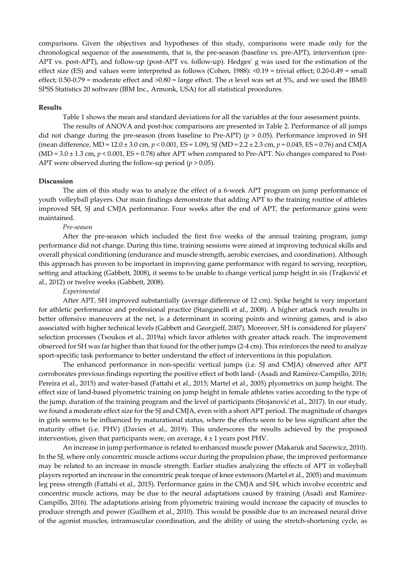comparisons. Given the objectives and hypotheses of this study, comparisons were made only for the chronological sequence of the assessments, that is, the pre-season (baseline vs. pre-APT), intervention (pre-APT vs. post-APT), and follow-up (post-APT vs. follow-up). Hedges' g was used for the estimation of the effect size (ES) and values were interpreted as follows (Cohen, 1988): <0.19 = trivial effect; 0.20-0.49 = small effect; 0.50-0.79 = moderate effect and  $>0.80$  = large effect. The  $\alpha$  level was set at 5%, and we used the IBM® SPSS Statistics 20 software (IBM Inc., Armonk, USA) for all statistical procedures.

# **Results**

Table 1 shows the mean and standard deviations for all the variables at the four assessment points.

The results of ANOVA and post-hoc comparisons are presented in Table 2. Performance of all jumps did not change during the pre-season (from baseline to Pre-APT) (*p* > 0.05). Performance improved in SH (mean difference, MD = 12.0 ± 3.0 cm, *p* < 0.001, ES = 1.09), SJ (MD = 2.2 ± 2.3 cm, *p* = 0.045, ES = 0.76) and CMJA  $(MD = 3.0 \pm 1.3 \text{ cm}, p < 0.001, ES = 0.78)$  after APT when compared to Pre-APT. No changes compared to Post-APT were observed during the follow-up period  $(p > 0.05)$ .

#### **Discussion**

The aim of this study was to analyze the effect of a 6-week APT program on jump performance of youth volleyball players. Our main findings demonstrate that adding APT to the training routine of athletes improved SH, SJ and CMJA performance. Four weeks after the end of APT, the performance gains were maintained.

### *Pre-season*

After the pre-season which included the first five weeks of the annual training program, jump performance did not change. During this time, training sessions were aimed at improving technical skills and overall physical conditioning (endurance and muscle strength, aerobic exercises, and coordination). Although this approach has proven to be important in improving game performance with regard to serving, reception, setting and attacking (Gabbett, 2008), it seems to be unable to change vertical jump height in six (Trajković et al., 2012) or twelve weeks (Gabbett, 2008).

#### *Experimental*

After APT, SH improved substantially (average difference of 12 cm). Spike height is very important for athletic performance and professional practice (Stanganelli et al., 2008). A higher attack reach results in better offensive maneuvers at the net, is a determinant in scoring points and winning games, and is also associated with higher technical levels (Gabbett and Georgieff, 2007). Moreover, SH is considered for players' selection processes (Tsoukos et al., 2019a) which favor athletes with greater attack reach. The improvement observed for SH was far higher than that found for the other jumps (2-4 cm). This reinforces the need to analyze sport-specific task performance to better understand the effect of interventions in this population.

The enhanced performance in non-specific vertical jumps (i.e. SJ and CMJA) observed after APT corroborates previous findings reporting the positive effect of both land- (Asadi and Ramírez-Campillo, 2016; Pereira et al., 2015) and water-based (Fattahi et al., 2015; Martel et al., 2005) plyometrics on jump height. The effect size of land-based plyometric training on jump height in female athletes varies according to the type of the jump, duration of the training program and the level of participants (Stojanović et al., 2017). In our study, we found a moderate effect size for the SJ and CMJA, even with a short APT period. The magnitude of changes in girls seems to be influenced by maturational status, where the effects seem to be less significant after the maturity offset (i.e. PHV) (Davies et al., 2019). This underscores the results achieved by the proposed intervention, given that participants were, on average,  $4 \pm 1$  years post PHV.

An increase in jump performance is related to enhanced muscle power (Makaruk and Sacewicz, 2010). In the SJ, where only concentric muscle actions occur during the propulsion phase, the improved performance may be related to an increase in muscle strength. Earlier studies analyzing the effects of APT in volleyball players reported an increase in the concentric peak torque of knee extensors (Martel et al., 2005) and maximum leg press strength (Fattahi et al., 2015). Performance gains in the CMJA and SH, which involve eccentric and concentric muscle actions, may be due to the neural adaptations caused by training (Asadi and Ramírez-Campillo, 2016). The adaptations arising from plyometric training would increase the capacity of muscles to produce strength and power (Guilhem et al., 2010). This would be possible due to an increased neural drive of the agonist muscles, intramuscular coordination, and the ability of using the stretch-shortening cycle, as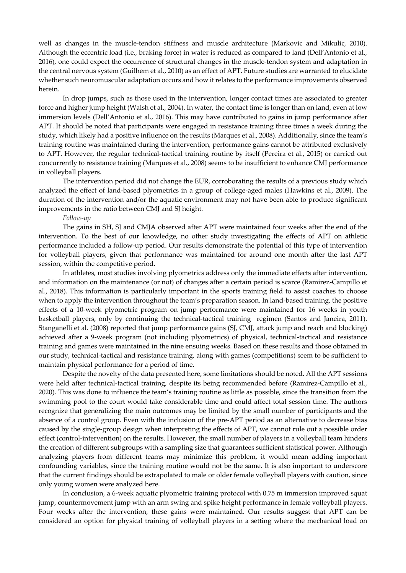well as changes in the muscle-tendon stiffness and muscle architecture (Markovic and Mikulic, 2010). Although the eccentric load (i.e., braking force) in water is reduced as compared to land (Dell'Antonio et al., 2016), one could expect the occurrence of structural changes in the muscle-tendon system and adaptation in the central nervous system (Guilhem et al., 2010) as an effect of APT. Future studies are warranted to elucidate whether such neuromuscular adaptation occurs and how it relates to the performance improvements observed herein.

In drop jumps, such as those used in the intervention, longer contact times are associated to greater force and higher jump height (Walsh et al., 2004). In water, the contact time is longer than on land, even at low immersion levels (Dell'Antonio et al., 2016). This may have contributed to gains in jump performance after APT. It should be noted that participants were engaged in resistance training three times a week during the study, which likely had a positive influence on the results (Marques et al., 2008). Additionally, since the team's training routine was maintained during the intervention, performance gains cannot be attributed exclusively to APT. However, the regular technical-tactical training routine by itself (Pereira et al., 2015) or carried out concurrently to resistance training (Marques et al., 2008) seems to be insufficient to enhance CMJ performance in volleyball players.

The intervention period did not change the EUR, corroborating the results of a previous study which analyzed the effect of land-based plyometrics in a group of college-aged males (Hawkins et al., 2009). The duration of the intervention and/or the aquatic environment may not have been able to produce significant improvements in the ratio between CMJ and SJ height.

# *Follow-up*

The gains in SH, SJ and CMJA observed after APT were maintained four weeks after the end of the intervention. To the best of our knowledge, no other study investigating the effects of APT on athletic performance included a follow-up period. Our results demonstrate the potential of this type of intervention for volleyball players, given that performance was maintained for around one month after the last APT session, within the competitive period.

In athletes, most studies involving plyometrics address only the immediate effects after intervention, and information on the maintenance (or not) of changes after a certain period is scarce (Ramirez-Campillo et al., 2018). This information is particularly important in the sports training field to assist coaches to choose when to apply the intervention throughout the team's preparation season. In land-based training, the positive effects of a 10-week plyometric program on jump performance were maintained for 16 weeks in youth basketball players, only by continuing the technical-tactical training regimen (Santos and Janeira, 2011). Stanganelli et al. (2008) reported that jump performance gains (SJ, CMJ, attack jump and reach and blocking) achieved after a 9-week program (not including plyometrics) of physical, technical-tactical and resistance training and games were maintained in the nine ensuing weeks. Based on these results and those obtained in our study, technical-tactical and resistance training, along with games (competitions) seem to be sufficient to maintain physical performance for a period of time.

Despite the novelty of the data presented here, some limitations should be noted. All the APT sessions were held after technical-tactical training, despite its being recommended before (Ramirez-Campillo et al., 2020). This was done to influence the team's training routine as little as possible, since the transition from the swimming pool to the court would take considerable time and could affect total session time. The authors recognize that generalizing the main outcomes may be limited by the small number of participants and the absence of a control group. Even with the inclusion of the pre-APT period as an alternative to decrease bias caused by the single-group design when interpreting the effects of APT, we cannot rule out a possible order effect (control-intervention) on the results. However, the small number of players in a volleyball team hinders the creation of different subgroups with a sampling size that guarantees sufficient statistical power. Although analyzing players from different teams may minimize this problem, it would mean adding important confounding variables, since the training routine would not be the same. It is also important to underscore that the current findings should be extrapolated to male or older female volleyball players with caution, since only young women were analyzed here.

In conclusion, a 6-week aquatic plyometric training protocol with 0.75 m immersion improved squat jump, countermovement jump with an arm swing and spike height performance in female volleyball players. Four weeks after the intervention, these gains were maintained. Our results suggest that APT can be considered an option for physical training of volleyball players in a setting where the mechanical load on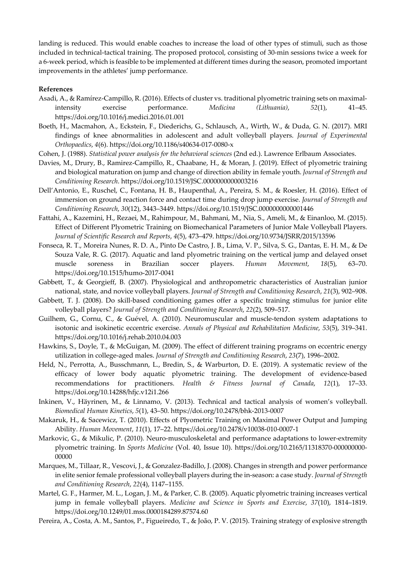landing is reduced. This would enable coaches to increase the load of other types of stimuli, such as those included in technical-tactical training. The proposed protocol, consisting of 30-min sessions twice a week for a 6-week period, which is feasible to be implemented at different times during the season, promoted important improvements in the athletes' jump performance.

# **References**

- Asadi, A., & Ramírez-Campillo, R. (2016). Effects of cluster vs. traditional plyometric training sets on maximalintensity exercise performance. *Medicina (Lithuania)*, *52*(1), 41–45. https://doi.org/10.1016/j.medici.2016.01.001
- Boeth, H., Macmahon, A., Eckstein, F., Diederichs, G., Schlausch, A., Wirth, W., & Duda, G. N. (2017). MRI findings of knee abnormalities in adolescent and adult volleyball players. *Journal of Experimental Orthopaedics*, *4*(6). https://doi.org/10.1186/s40634-017-0080-x
- Cohen, J. (1988). *Statistical power analysis for the behavioral sciences* (2nd ed.). Lawrence Erlbaum Associates.
- Davies, M., Drury, B., Ramirez-Campillo, R., Chaabane, H., & Moran, J. (2019). Effect of plyometric training and biological maturation on jump and change of direction ability in female youth. *Journal of Strength and Conditioning Research*. https://doi.org/10.1519/JSC.0000000000003216
- Dell'Antonio, E., Ruschel, C., Fontana, H. B., Haupenthal, A., Pereira, S. M., & Roesler, H. (2016). Effect of immersion on ground reaction force and contact time during drop jump exercise. *Journal of Strength and Conditioning Research*, *30*(12), 3443–3449. https://doi.org/10.1519/JSC.0000000000001446
- Fattahi, A., Kazemini, H., Rezaei, M., Rahimpour, M., Bahmani, M., Nia, S., Ameli, M., & Einanloo, M. (2015). Effect of Different Plyometric Training on Biomechanical Parameters of Junior Male Volleyball Players. *Journal of Scientific Research and Reports*, *4*(5), 473–479. https://doi.org/10.9734/JSRR/2015/13596
- Fonseca, R. T., Moreira Nunes, R. D. A., Pinto De Castro, J. B., Lima, V. P., Silva, S. G., Dantas, E. H. M., & De Souza Vale, R. G. (2017). Aquatic and land plyometric training on the vertical jump and delayed onset muscle soreness in Brazilian soccer players. *Human Movement*, *18*(5), 63–70. https://doi.org/10.1515/humo-2017-0041
- Gabbett, T., & Georgieff, B. (2007). Physiological and anthropometric characteristics of Australian junior national, state, and novice volleyball players. *Journal of Strength and Conditioning Research*, *21*(3), 902–908.
- Gabbett, T. J. (2008). Do skill-based conditioning games offer a specific training stimulus for junior elite volleyball players? *Journal of Strength and Conditioning Research*, *22*(2), 509–517.
- Guilhem, G., Cornu, C., & Guével, A. (2010). Neuromuscular and muscle-tendon system adaptations to isotonic and isokinetic eccentric exercise. *Annals of Physical and Rehabilitation Medicine*, *53*(5), 319–341. https://doi.org/10.1016/j.rehab.2010.04.003
- Hawkins, S., Doyle, T., & McGuigan, M. (2009). The effect of different training programs on eccentric energy utilization in college-aged males. *Journal of Strength and Conditioning Research*, *23*(7), 1996–2002.
- Held, N., Perrotta, A., Busschmann, L., Bredin, S., & Warburton, D. E. (2019). A systematic review of the efficacy of lower body aquatic plyometric training. The development of evidence-based recommendations for practitioners. *Health & Fitness Journal of Canada*, *12*(1), 17–33. https://doi.org/10.14288/hfjc.v12i1.266
- Inkinen, V., Häyrinen, M., & Linnamo, V. (2013). Technical and tactical analysis of women's volleyball. *Biomedical Human Kinetics*, *5*(1), 43–50. https://doi.org/10.2478/bhk-2013-0007
- Makaruk, H., & Sacewicz, T. (2010). Effects of Plyometric Training on Maximal Power Output and Jumping Ability. *Human Movement*, *11*(1), 17–22. https://doi.org/10.2478/v10038-010-0007-1
- Markovic, G., & Mikulic, P. (2010). Neuro-musculoskeletal and performance adaptations to lower-extremity plyometric training. In *Sports Medicine* (Vol. 40, Issue 10). https://doi.org/10.2165/11318370-000000000- 00000
- Marques, M., Tillaar, R., Vescovi, J., & Gonzalez-Badillo, J. (2008). Changes in strength and power performance in elite senior female professional volleyball players during the in-season: a case study. *Journal of Strength and Conditioning Research*, *22*(4), 1147–1155.
- Martel, G. F., Harmer, M. L., Logan, J. M., & Parker, C. B. (2005). Aquatic plyometric training increases vertical jump in female volleyball players. *Medicine and Science in Sports and Exercise*, *37*(10), 1814–1819. https://doi.org/10.1249/01.mss.0000184289.87574.60
- Pereira, A., Costa, A. M., Santos, P., Figueiredo, T., & João, P. V. (2015). Training strategy of explosive strength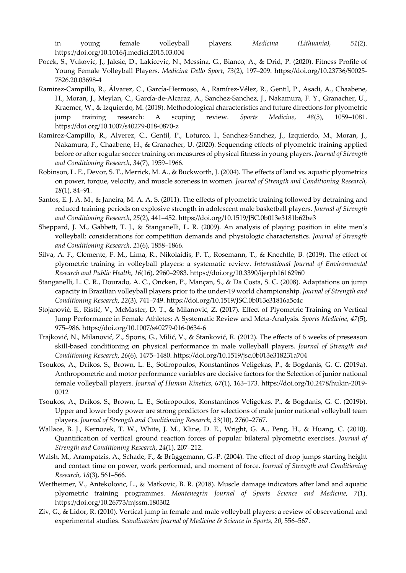in young female volleyball players. *Medicina (Lithuania)*, *51*(2). https://doi.org/10.1016/j.medici.2015.03.004

- Pocek, S., Vukovic, J., Jaksic, D., Lakicevic, N., Messina, G., Bianco, A., & Drid, P. (2020). Fitness Profile of Young Female Volleyball Players. *Medicina Dello Sport*, *73*(2), 197–209. https://doi.org/10.23736/S0025- 7826.20.03698-4
- Ramirez-Campillo, R., Álvarez, C., García-Hermoso, A., Ramírez-Vélez, R., Gentil, P., Asadi, A., Chaabene, H., Moran, J., Meylan, C., García-de-Alcaraz, A., Sanchez-Sanchez, J., Nakamura, F. Y., Granacher, U., Kraemer, W., & Izquierdo, M. (2018). Methodological characteristics and future directions for plyometric jump training research: A scoping review. *Sports Medicine*, *48*(5), 1059–1081. https://doi.org/10.1007/s40279-018-0870-z
- Ramirez-Campillo, R., Alverez, C., Gentil, P., Loturco, I., Sanchez-Sanchez, J., Izquierdo, M., Moran, J., Nakamura, F., Chaabene, H., & Granacher, U. (2020). Sequencing effects of plyometric training applied before or after regular soccer training on measures of physical fitness in young players. *Journal of Strength and Conditioning Research*, *34*(7), 1959–1966.
- Robinson, L. E., Devor, S. T., Merrick, M. A., & Buckworth, J. (2004). The effects of land vs. aquatic plyometrics on power, torque, velocity, and muscle soreness in women. *Journal of Strength and Conditioning Research*, *18*(1), 84–91.
- Santos, E. J. A. M., & Janeira, M. A. A. S. (2011). The effects of plyometric training followed by detraining and reduced training periods on explosive strength in adolescent male basketball players. *Journal of Strength and Conditioning Research*, *25*(2), 441–452. https://doi.org/10.1519/JSC.0b013e3181b62be3
- Sheppard, J. M., Gabbett, T. J., & Stanganelli, L. R. (2009). An analysis of playing position in elite men's volleyball: considerations for competition demands and physiologic characteristics. *Journal of Strength and Conditioning Research*, *23*(6), 1858–1866.
- Silva, A. F., Clemente, F. M., Lima, R., Nikolaidis, P. T., Rosemann, T., & Knechtle, B. (2019). The effect of plyometric training in volleyball players: a systematic review. *International Journal of Environmental Research and Public Health*, *16*(16), 2960–2983. https://doi.org/10.3390/ijerph16162960
- Stanganelli, L. C. R., Dourado, A. C., Oncken, P., Mançan, S., & Da Costa, S. C. (2008). Adaptations on jump capacity in Brazilian volleyball players prior to the under-19 world championship. *Journal of Strength and Conditioning Research*, *22*(3), 741–749. https://doi.org/10.1519/JSC.0b013e31816a5c4c
- Stojanović, E., Ristić, V., McMaster, D. T., & Milanović, Z. (2017). Effect of Plyometric Training on Vertical Jump Performance in Female Athletes: A Systematic Review and Meta-Analysis. *Sports Medicine*, *47*(5), 975–986. https://doi.org/10.1007/s40279-016-0634-6
- Trajković, N., Milanović, Z., Sporis, G., Milić, V., & Stanković, R. (2012). The effects of 6 weeks of preseason skill-based conditioning on physical performance in male volleyball players. *Journal of Strength and Conditioning Research*, *26*(6), 1475–1480. https://doi.org/10.1519/jsc.0b013e318231a704
- Tsoukos, A., Drikos, S., Brown, L. E., Sotiropoulos, Konstantinos Veligekas, P., & Bogdanis, G. C. (2019a). Anthropometric and motor performance variables are decisive factors for the Selection of junior national female volleyball players. *Journal of Human Kinetics*, *67*(1), 163–173. https://doi.org/10.2478/hukin-2019- 0012
- Tsoukos, A., Drikos, S., Brown, L. E., Sotiropoulos, Konstantinos Veligekas, P., & Bogdanis, G. C. (2019b). Upper and lower body power are strong predictors for selections of male junior national volleyball team players. *Journal of Strength and Conditioning Research*, *33*(10), 2760–2767.
- Wallace, B. J., Kernozek, T. W., White, J. M., Kline, D. E., Wright, G. A., Peng, H., & Huang, C. (2010). Quantification of vertical ground reaction forces of popular bilateral plyometric exercises. *Journal of Strength and Conditioning Research*, *24*(1), 207–212.
- Walsh, M., Arampatzis, A., Schade, F., & Brüggemann, G.-P. (2004). The effect of drop jumps starting height and contact time on power, work performed, and moment of force. *Journal of Strength and Conditioning Research*, *18*(3), 561–566.
- Wertheimer, V., Antekolovic, L., & Matkovic, B. R. (2018). Muscle damage indicators after land and aquatic plyometric training programmes. *Montenegrin Journal of Sports Science and Medicine*, *7*(1). https://doi.org/10.26773/mjssm.180302
- Ziv, G., & Lidor, R. (2010). Vertical jump in female and male volleyball players: a review of observational and experimental studies. *Scandinavian Journal of Medicine & Science in Sports*, *20*, 556–567.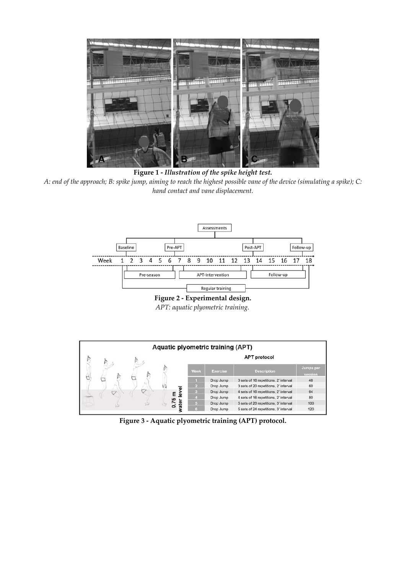

**Figure 1 -** *Illustration of the spike height test. A: end of the approach; B: spike jump, aiming to reach the highest possible vane of the device (simulating a spike); C: hand contact and vane displacement.* 



**Figure 2 - Experimental design.**  *APT: aquatic plyometric training.*



**Figure 3 - Aquatic plyometric training (APT) protocol.**